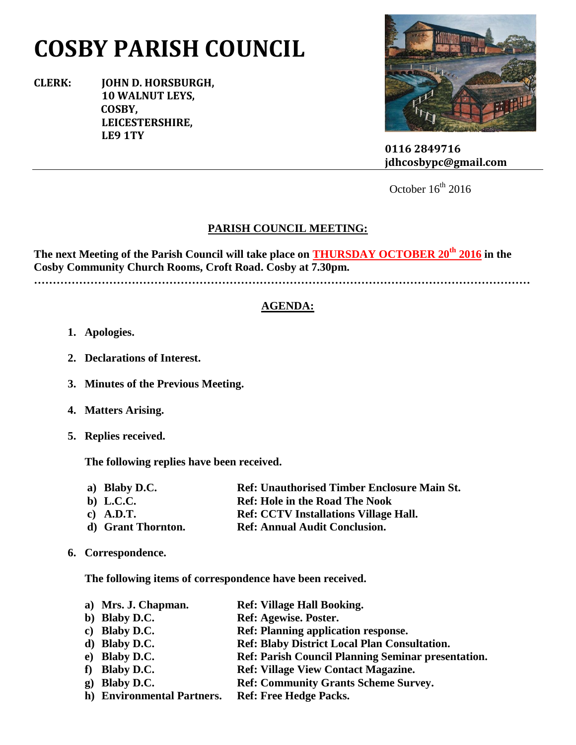# **COSBY PARISH COUNCIL**

**CLERK: JOHN D. HORSBURGH, 10 WALNUT LEYS, COSBY, LEICESTERSHIRE, LE9 1TY**



 **0116 2849716 jdhcosbypc@gmail.com**

October  $16^{th}$  2016

## **PARISH COUNCIL MEETING:**

**The next Meeting of the Parish Council will take place on THURSDAY OCTOBER 20th 2016 in the Cosby Community Church Rooms, Croft Road. Cosby at 7.30pm.**

**……………………………………………………………………………………………………………………**

## **AGENDA:**

- **1. Apologies.**
- **2. Declarations of Interest.**
- **3. Minutes of the Previous Meeting.**
- **4. Matters Arising.**
- **5. Replies received.**

**The following replies have been received.**

- **a) Blaby D.C. Ref: Unauthorised Timber Enclosure Main St.**
- **b) L.C.C. Ref: Hole in the Road The Nook**
- **c) A.D.T. Ref: CCTV Installations Village Hall.**
- **d) Grant Thornton. Ref: Annual Audit Conclusion.**
- **6. Correspondence.**

**The following items of correspondence have been received.**

- **a) Mrs. J. Chapman. Ref: Village Hall Booking.**
- **b**) **Blaby D.C. Ref: Agewise. Poster.**
- **c) Blaby D.C. Ref: Planning application response.**
- **d) Blaby D.C. Ref: Blaby District Local Plan Consultation.**
- **e) Blaby D.C. Ref: Parish Council Planning Seminar presentation.**
- **f) Blaby D.C. Ref: Village View Contact Magazine.**
- **g) Blaby D.C. Ref: Community Grants Scheme Survey.**
- **h) Environmental Partners. Ref: Free Hedge Packs.**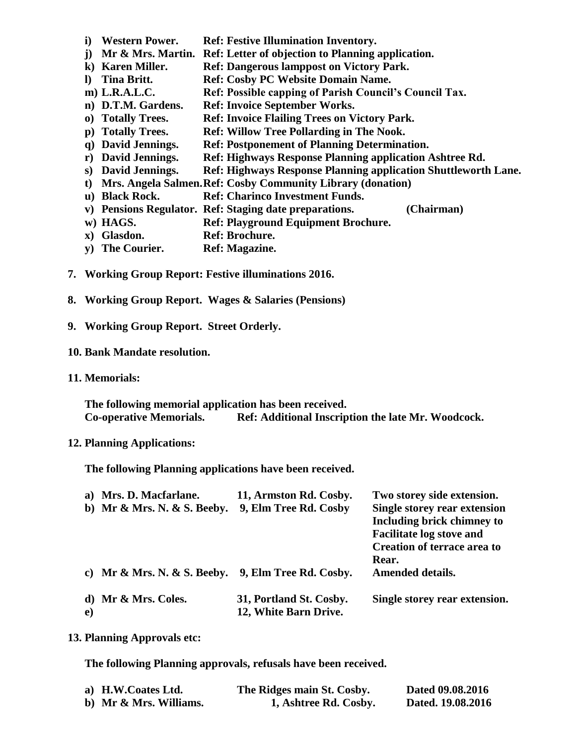- **i) Western Power. Ref: Festive Illumination Inventory.**
- **j) Mr & Mrs. Martin. Ref: Letter of objection to Planning application.**
- **k) Karen Miller. Ref: Dangerous lamppost on Victory Park.**
- **l) Tina Britt. Ref: Cosby PC Website Domain Name.**
- **m) L.R.A.L.C. Ref: Possible capping of Parish Council's Council Tax.**
- **n) D.T.M. Gardens. Ref: Invoice September Works.**
- **o) Totally Trees. Ref: Invoice Flailing Trees on Victory Park.**
- **p) Totally Trees. Ref: Willow Tree Pollarding in The Nook.**
- **q) David Jennings. Ref: Postponement of Planning Determination.**
- **r) David Jennings. Ref: Highways Response Planning application Ashtree Rd.**
- **s) David Jennings. Ref: Highways Response Planning application Shuttleworth Lane.**
- **t) Mrs. Angela Salmen.Ref: Cosby Community Library (donation)**
- **u) Black Rock. Ref: Charinco Investment Funds.**
- **v) Pensions Regulator. Ref: Staging date preparations. (Chairman)**
- **w) HAGS. Ref: Playground Equipment Brochure.**
- **x) Glasdon. Ref: Brochure.**
- **y) The Courier. Ref: Magazine.**
- **7. Working Group Report: Festive illuminations 2016.**
- **8. Working Group Report. Wages & Salaries (Pensions)**
- **9. Working Group Report. Street Orderly.**

#### **10. Bank Mandate resolution.**

**11. Memorials:**

**The following memorial application has been received. Co-operative Memorials. Ref: Additional Inscription the late Mr. Woodcock.**

#### **12. Planning Applications:**

**The following Planning applications have been received.**

| a)       | Mrs. D. Macfarlane.         | 11, Armston Rd. Cosby.  | Two storey side extension.         |
|----------|-----------------------------|-------------------------|------------------------------------|
|          | b) Mr & Mrs. N. & S. Beeby. | 9, Elm Tree Rd. Cosby   | Single storey rear extension       |
|          |                             |                         | <b>Including brick chimney to</b>  |
|          |                             |                         | <b>Facilitate log stove and</b>    |
|          |                             |                         | <b>Creation of terrace area to</b> |
|          |                             |                         | Rear.                              |
|          | c) Mr & Mrs. N. & S. Beeby. | 9, Elm Tree Rd. Cosby.  | <b>Amended details.</b>            |
|          | d) Mr & Mrs. Coles.         | 31, Portland St. Cosby. | Single storey rear extension.      |
| $\bf e)$ |                             | 12, White Barn Drive.   |                                    |

### **13. Planning Approvals etc:**

**The following Planning approvals, refusals have been received.**

| a) H.W.Coates Ltd.     | The Ridges main St. Cosby. | Dated 09.08.2016  |
|------------------------|----------------------------|-------------------|
| b) Mr & Mrs. Williams. | 1, Ashtree Rd. Cosby.      | Dated. 19.08.2016 |